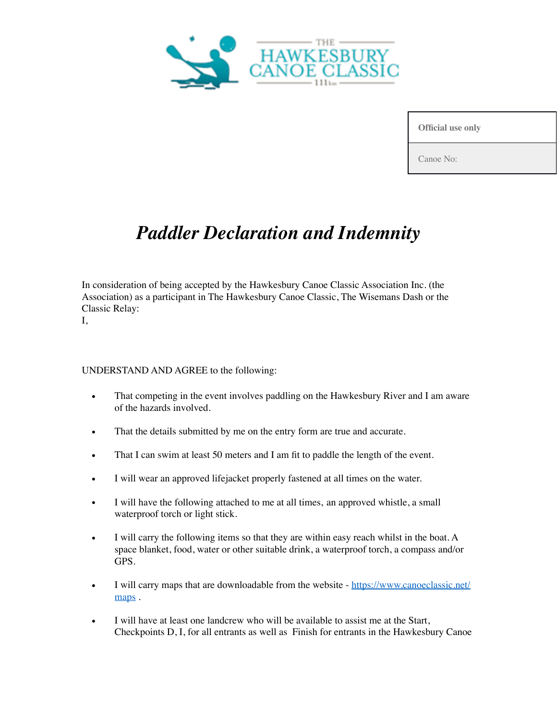

**Official use only**

Canoe No:

## *Paddler Declaration and Indemnity*

In consideration of being accepted by the Hawkesbury Canoe Classic Association Inc. (the Association) as a participant in The Hawkesbury Canoe Classic, The Wisemans Dash or the Classic Relay:

I,

## UNDERSTAND AND AGREE to the following:

- That competing in the event involves paddling on the Hawkesbury River and I am aware of the hazards involved.
- That the details submitted by me on the entry form are true and accurate.
- That I can swim at least 50 meters and I am fit to paddle the length of the event.
- I will wear an approved lifejacket properly fastened at all times on the water.
- I will have the following attached to me at all times, an approved whistle, a small waterproof torch or light stick.
- I will carry the following items so that they are within easy reach whilst in the boat. A space blanket, food, water or other suitable drink, a waterproof torch, a compass and/or GPS.
- I will carry maps that are downloadable from the website [https://www.canoeclassic.net/](https://www.canoeclassic.net/maps) [maps](https://www.canoeclassic.net/maps).
- I will have at least one landcrew who will be available to assist me at the Start, Checkpoints D, I, for all entrants as well as Finish for entrants in the Hawkesbury Canoe